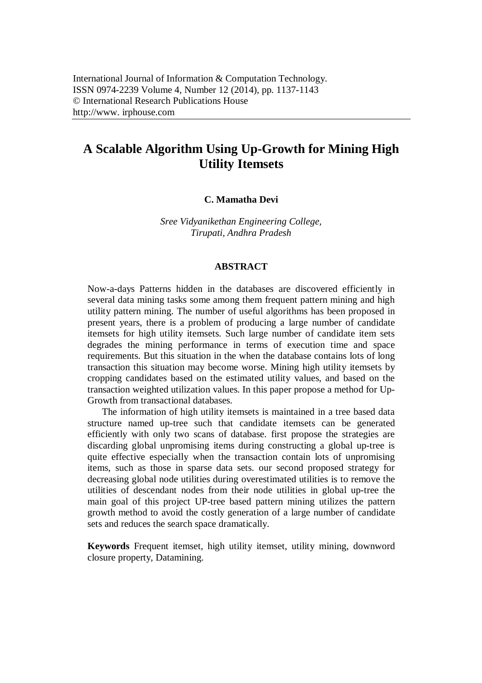# **A Scalable Algorithm Using Up-Growth for Mining High Utility Itemsets**

### **C. Mamatha Devi**

*Sree Vidyanikethan Engineering College, Tirupati, Andhra Pradesh*

#### **ABSTRACT**

Now-a-days Patterns hidden in the databases are discovered efficiently in several data mining tasks some among them frequent pattern mining and high utility pattern mining. The number of useful algorithms has been proposed in present years, there is a problem of producing a large number of candidate itemsets for high utility itemsets. Such large number of candidate item sets degrades the mining performance in terms of execution time and space requirements. But this situation in the when the database contains lots of long transaction this situation may become worse. Mining high utility itemsets by cropping candidates based on the estimated utility values, and based on the transaction weighted utilization values. In this paper propose a method for Up-Growth from transactional databases.

The information of high utility itemsets is maintained in a tree based data structure named up-tree such that candidate itemsets can be generated efficiently with only two scans of database. first propose the strategies are discarding global unpromising items during constructing a global up-tree is quite effective especially when the transaction contain lots of unpromising items, such as those in sparse data sets. our second proposed strategy for decreasing global node utilities during overestimated utilities is to remove the utilities of descendant nodes from their node utilities in global up-tree the main goal of this project UP-tree based pattern mining utilizes the pattern growth method to avoid the costly generation of a large number of candidate sets and reduces the search space dramatically.

**Keywords** Frequent itemset, high utility itemset, utility mining, downword closure property, Datamining.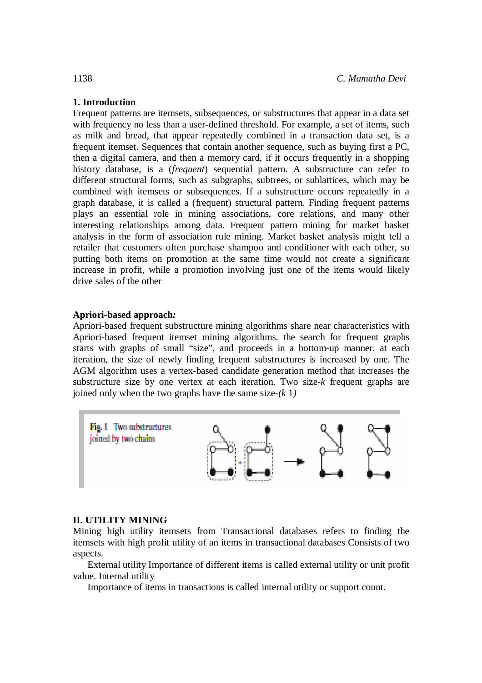# **1. Introduction**

Frequent patterns are itemsets, subsequences, or substructures that appear in a data set with frequency no less than a user-defined threshold. For example, a set of items, such as milk and bread, that appear repeatedly combined in a transaction data set, is a frequent itemset. Sequences that contain another sequence, such as buying first a PC, then a digital camera, and then a memory card, if it occurs frequently in a shopping history database, is a (*frequent*) sequential pattern. A substructure can refer to different structural forms, such as subgraphs, subtrees, or sublattices, which may be combined with itemsets or subsequences. If a substructure occurs repeatedly in a graph database, it is called a (frequent) structural pattern. Finding frequent patterns plays an essential role in mining associations, core relations, and many other interesting relationships among data. Frequent pattern mining for market basket analysis in the form of association rule mining. Market basket analysis might tell a retailer that customers often purchase shampoo and conditioner with each other, so putting both items on promotion at the same time would not create a significant increase in profit, while a promotion involving just one of the items would likely drive sales of the other

# **Apriori-based approach***:*

Apriori-based frequent substructure mining algorithms share near characteristics with Apriori-based frequent itemset mining algorithms. the search for frequent graphs starts with graphs of small "size", and proceeds in a bottom-up manner. at each iteration, the size of newly finding frequent substructures is increased by one. The AGM algorithm uses a vertex-based candidate generation method that increases the substructure size by one vertex at each iteration. Two size-*k* frequent graphs are joined only when the two graphs have the same size-*(k* 1*)*



# **II. UTILITY MINING**

Mining high utility itemsets from Transactional databases refers to finding the itemsets with high profit utility of an items in transactional databases Consists of two aspects.

External utility Importance of different items is called external utility or unit profit value. Internal utility

Importance of items in transactions is called internal utility or support count.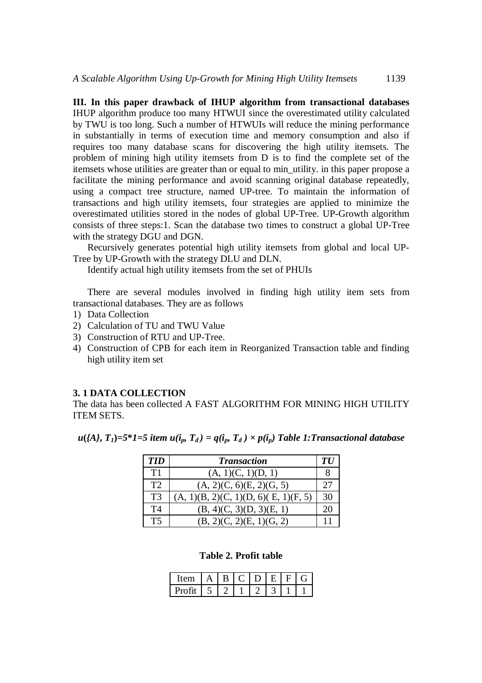**III. In this paper drawback of IHUP algorithm from transactional databases**  IHUP algorithm produce too many HTWUI since the overestimated utility calculated by TWU is too long. Such a number of HTWUIs will reduce the mining performance in substantially in terms of execution time and memory consumption and also if requires too many database scans for discovering the high utility itemsets. The problem of mining high utility itemsets from D is to find the complete set of the itemsets whose utilities are greater than or equal to min\_utility. in this paper propose a facilitate the mining performance and avoid scanning original database repeatedly, using a compact tree structure, named UP-tree. To maintain the information of transactions and high utility itemsets, four strategies are applied to minimize the overestimated utilities stored in the nodes of global UP-Tree. UP-Growth algorithm consists of three steps:1. Scan the database two times to construct a global UP-Tree with the strategy DGU and DGN.

Recursively generates potential high utility itemsets from global and local UP-Tree by UP-Growth with the strategy DLU and DLN.

Identify actual high utility itemsets from the set of PHUIs

There are several modules involved in finding high utility item sets from transactional databases. They are as follows

- 1) Data Collection
- 2) Calculation of TU and TWU Value
- 3) Construction of RTU and UP-Tree.
- 4) Construction of CPB for each item in Reorganized Transaction table and finding high utility item set

#### **3. 1 DATA COLLECTION**

The data has been collected A FAST ALGORITHM FOR MINING HIGH UTILITY ITEM SETS.

 $u(\lbrace A \rbrace, T_I) = 5*1=5$  item  $u(i_p, T_d) = q(i_p, T_d) \times p(i_p)$  Table 1: Transactional database

| <b>TID</b>     | <b>Transaction</b>                   | TU |
|----------------|--------------------------------------|----|
| T1             | (A, 1)(C, 1)(D, 1)                   |    |
| T2             | (A, 2)(C, 6)(E, 2)(G, 5)             | 27 |
| T <sub>3</sub> | (A, 1)(B, 2)(C, 1)(D, 6)(E, 1)(F, 5) | 30 |
| T4             | (B, 4)(C, 3)(D, 3)(E, 1)             | 20 |
| T5             | (B, 2)(C, 2)(E, 1)(G, 2)             |    |

#### **Table 2. Profit table**

| $-$<br>- 1011 |  |  |  |  |
|---------------|--|--|--|--|
|               |  |  |  |  |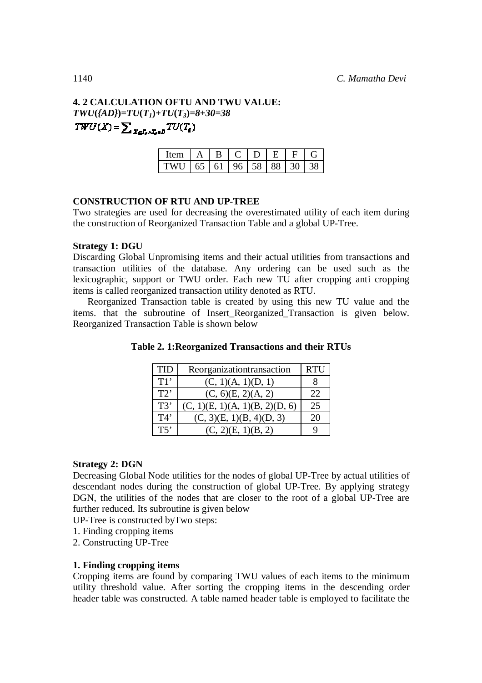# **4. 2 CALCULATION OFTU AND TWU VALUE:** *TWU***(***{AD}***)=***TU***(***T1***)+***TU***(***T3***)=***8***+***30=38*  $\mathit{TWU}(X) = \sum\nolimits_{X \in \mathcal{I}_s \land \mathcal{I}_s \in D} \mathit{TU}(T_a)$

| <b>Tem</b> | A |              | $\Box$ | Н.                        |        |     |
|------------|---|--------------|--------|---------------------------|--------|-----|
|            |   | $65 \mid 61$ |        | $96 \mid 58 \mid 88 \mid$ | $-301$ | 38. |

# **CONSTRUCTION OF RTU AND UP-TREE**

Two strategies are used for decreasing the overestimated utility of each item during the construction of Reorganized Transaction Table and a global UP-Tree.

### **Strategy 1: DGU**

Discarding Global Unpromising items and their actual utilities from transactions and transaction utilities of the database. Any ordering can be used such as the lexicographic, support or TWU order. Each new TU after cropping anti cropping items is called reorganized transaction utility denoted as RTU.

Reorganized Transaction table is created by using this new TU value and the items. that the subroutine of Insert\_Reorganized\_Transaction is given below. Reorganized Transaction Table is shown below

| TID | Reorganizationtransaction      | <b>RTU</b> |
|-----|--------------------------------|------------|
| T1' | (C, 1)(A, 1)(D, 1)             |            |
| T2' | $(C, 6)$ $(E, 2)$ $(A, 2)$     | 22         |
| T3' | (C, 1)(E, 1)(A, 1)(B, 2)(D, 6) | 25         |
| T4' | (C, 3)(E, 1)(B, 4)(D, 3)       | 20         |
| T5' | (C, 2)(E, 1)(B, 2)             |            |

**Table 2. 1:Reorganized Transactions and their RTUs**

# **Strategy 2: DGN**

Decreasing Global Node utilities for the nodes of global UP-Tree by actual utilities of descendant nodes during the construction of global UP-Tree. By applying strategy DGN, the utilities of the nodes that are closer to the root of a global UP-Tree are further reduced. Its subroutine is given below

UP-Tree is constructed byTwo steps:

- 1. Finding cropping items
- 2. Constructing UP-Tree

# **1. Finding cropping items**

Cropping items are found by comparing TWU values of each items to the minimum utility threshold value. After sorting the cropping items in the descending order header table was constructed. A table named header table is employed to facilitate the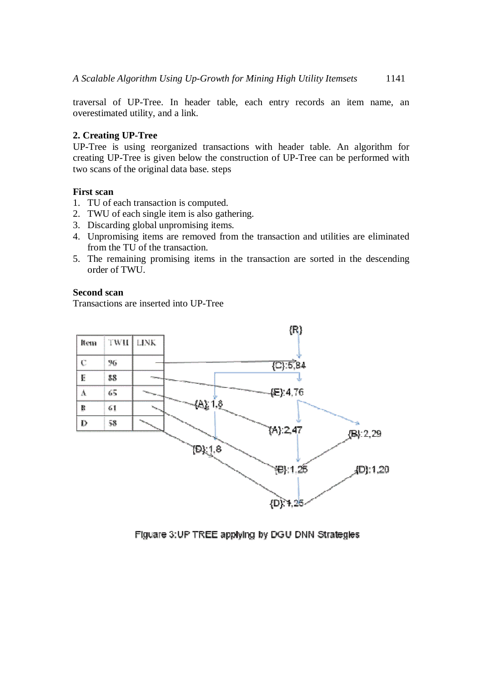traversal of UP-Tree. In header table, each entry records an item name, an overestimated utility, and a link.

# **2. Creating UP-Tree**

UP-Tree is using reorganized transactions with header table. An algorithm for creating UP-Tree is given below the construction of UP-Tree can be performed with two scans of the original data base. steps

# **First scan**

- 1. TU of each transaction is computed.
- 2. TWU of each single item is also gathering.
- 3. Discarding global unpromising items.
- 4. Unpromising items are removed from the transaction and utilities are eliminated from the TU of the transaction.
- 5. The remaining promising items in the transaction are sorted in the descending order of TWU.

# **Second scan**

Transactions are inserted into UP-Tree



Figuare 3: UP TREE applying by DGU DNN Strategies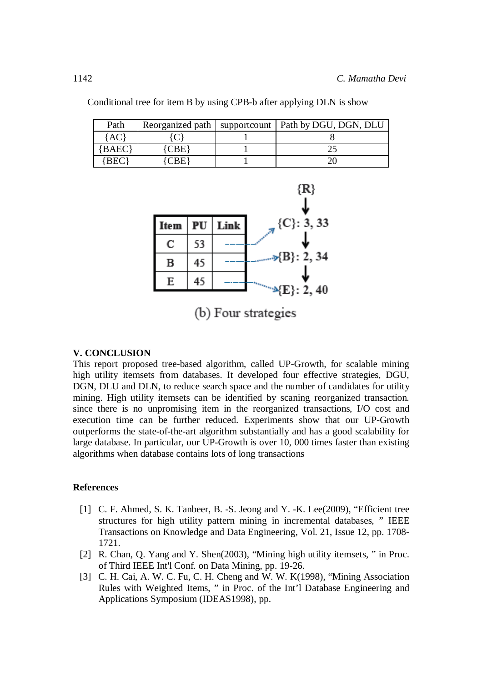| Path        | Reorganized path | supportcount   Path by DGU, DGN, DLU |
|-------------|------------------|--------------------------------------|
|             |                  |                                      |
| <b>BAEC</b> |                  |                                      |
| BEO         |                  |                                      |

Conditional tree for item B by using CPB-b after applying DLN is show

![](_page_5_Figure_3.jpeg)

(b) Four strategies

# **V. CONCLUSION**

This report proposed tree-based algorithm, called UP-Growth*,* for scalable mining high utility itemsets from databases. It developed four effective strategies, DGU, DGN, DLU and DLN, to reduce search space and the number of candidates for utility mining. High utility itemsets can be identified by scaning reorganized transaction. since there is no unpromising item in the reorganized transactions, I/O cost and execution time can be further reduced. Experiments show that our UP-Growth outperforms the state-of-the-art algorithm substantially and has a good scalability for large database. In particular, our UP-Growth is over 10, 000 times faster than existing algorithms when database contains lots of long transactions

# **References**

- [1] C. F. Ahmed, S. K. Tanbeer, B. -S. Jeong and Y. -K. Lee(2009), "Efficient tree structures for high utility pattern mining in incremental databases, " IEEE Transactions on Knowledge and Data Engineering, Vol. 21, Issue 12, pp. 1708- 1721.
- [2] R. Chan, Q. Yang and Y. Shen(2003), "Mining high utility itemsets, " in Proc. of Third IEEE Int'l Conf. on Data Mining, pp. 19-26.
- [3] C. H. Cai, A. W. C. Fu, C. H. Cheng and W. W. K(1998), "Mining Association Rules with Weighted Items, " in Proc. of the Int'l Database Engineering and Applications Symposium (IDEAS1998), pp.